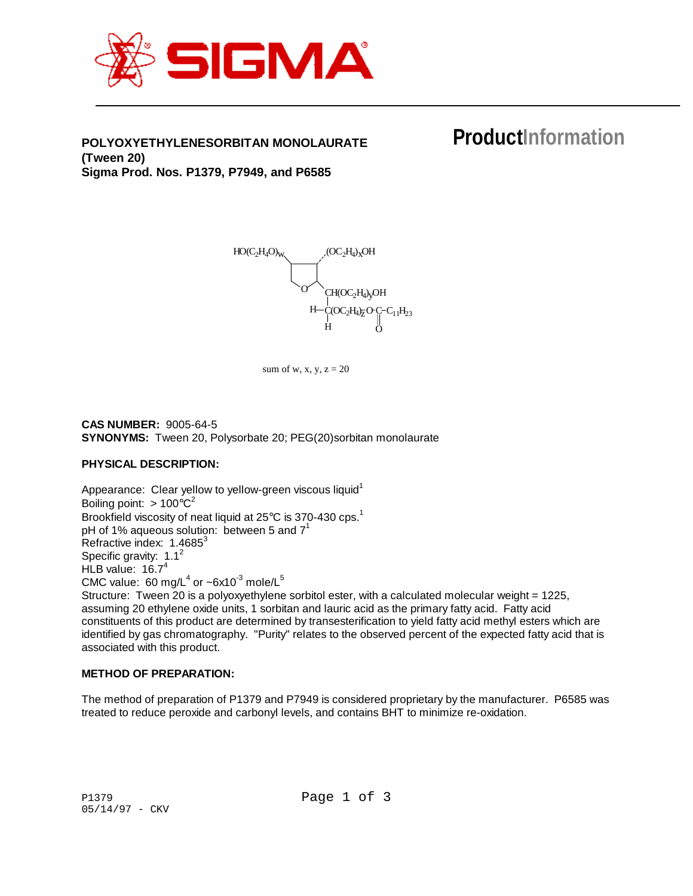

## **POLYOXYETHYLENESORBITAN MONOLAURATE (Tween 20) Sigma Prod. Nos. P1379, P7949, and P6585**

# **ProductInformation**



sum of w, x, y,  $z = 20$ 

**CAS NUMBER:** 9005-64-5 **SYNONYMS:** Tween 20, Polysorbate 20; PEG(20)sorbitan monolaurate

## **PHYSICAL DESCRIPTION:**

Appearance: Clear yellow to yellow-green viscous liquid<sup>1</sup> Boiling point:  $> 100^{\circ}C^2$ Brookfield viscosity of neat liquid at 25°C is 370-430 cps.<sup>1</sup> pH of 1% aqueous solution: between 5 and  $7^1$ Refractive index:  $1.4685^3$ Specific gravity:  $1.1^2$ HLB value:  $16.7<sup>4</sup>$ CMC value: 60 mg/L<sup>4</sup> or ~6x10<sup>-3</sup> mole/L<sup>5</sup> Structure: Tween 20 is a polyoxyethylene sorbitol ester, with a calculated molecular weight = 1225, assuming 20 ethylene oxide units, 1 sorbitan and lauric acid as the primary fatty acid. Fatty acid constituents of this product are determined by transesterification to yield fatty acid methyl esters which are identified by gas chromatography. "Purity" relates to the observed percent of the expected fatty acid that is

## **METHOD OF PREPARATION:**

associated with this product.

The method of preparation of P1379 and P7949 is considered proprietary by the manufacturer. P6585 was treated to reduce peroxide and carbonyl levels, and contains BHT to minimize re-oxidation.

P1379 Page 1 of 3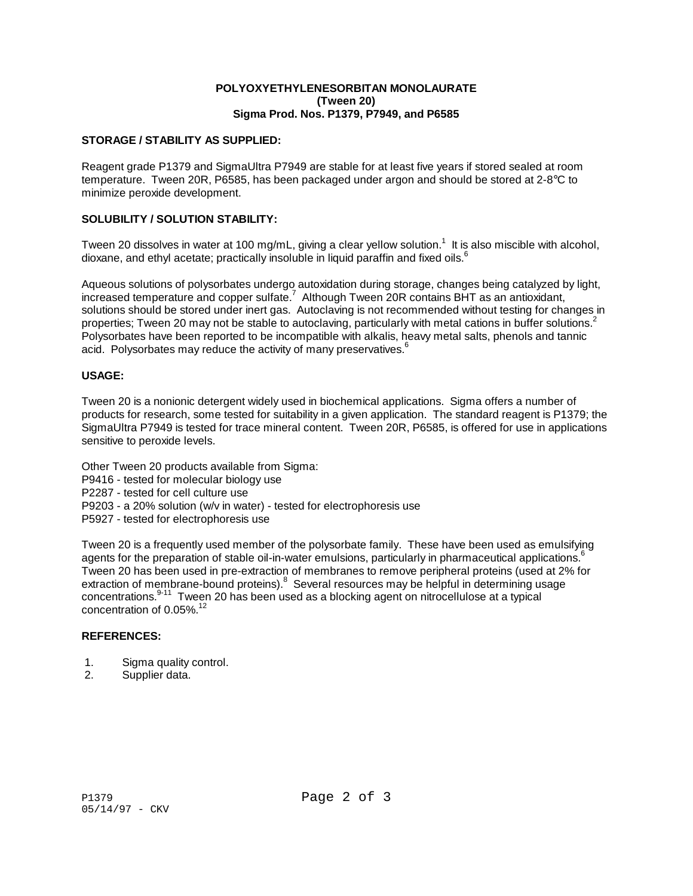#### **POLYOXYETHYLENESORBITAN MONOLAURATE (Tween 20) Sigma Prod. Nos. P1379, P7949, and P6585**

#### **STORAGE / STABILITY AS SUPPLIED:**

Reagent grade P1379 and SigmaUltra P7949 are stable for at least five years if stored sealed at room temperature. Tween 20R, P6585, has been packaged under argon and should be stored at 2-8°C to minimize peroxide development.

#### **SOLUBILITY / SOLUTION STABILITY:**

Tween 20 dissolves in water at 100 mg/mL, giving a clear yellow solution.<sup>1</sup> It is also miscible with alcohol, dioxane, and ethyl acetate; practically insoluble in liquid paraffin and fixed oils. $<sup>6</sup>$ </sup>

Aqueous solutions of polysorbates undergo autoxidation during storage, changes being catalyzed by light, increased temperature and copper sulfate.<sup>7</sup> Although Tween 20R contains BHT as an antioxidant, solutions should be stored under inert gas. Autoclaving is not recommended without testing for changes in properties; Tween 20 may not be stable to autoclaving, particularly with metal cations in buffer solutions.<sup>2</sup> Polysorbates have been reported to be incompatible with alkalis, heavy metal salts, phenols and tannic acid. Polysorbates may reduce the activity of many preservatives.<sup>6</sup>

#### **USAGE:**

Tween 20 is a nonionic detergent widely used in biochemical applications. Sigma offers a number of products for research, some tested for suitability in a given application. The standard reagent is P1379; the SigmaUltra P7949 is tested for trace mineral content. Tween 20R, P6585, is offered for use in applications sensitive to peroxide levels.

Other Tween 20 products available from Sigma:

- P9416 tested for molecular biology use
- P2287 tested for cell culture use
- P9203 a 20% solution (w/v in water) tested for electrophoresis use
- P5927 tested for electrophoresis use

Tween 20 is a frequently used member of the polysorbate family. These have been used as emulsifying agents for the preparation of stable oil-in-water emulsions, particularly in pharmaceutical applications.<sup>6</sup> Tween 20 has been used in pre-extraction of membranes to remove peripheral proteins (used at 2% for extraction of membrane-bound proteins). $8$  Several resources may be helpful in determining usage concentrations.<sup>9-11</sup> Tween 20 has been used as a blocking agent on nitrocellulose at a typical concentration of 0.05%.<sup>12</sup>

## **REFERENCES:**

- 1. Sigma quality control.
- 2. Supplier data.